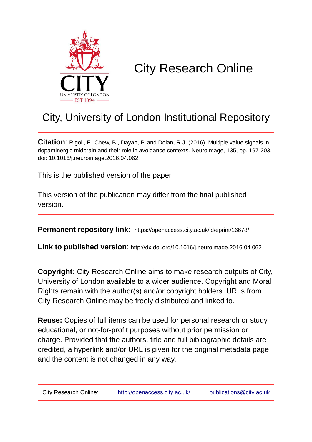

# City Research Online

## City, University of London Institutional Repository

**Citation**: Rigoli, F., Chew, B., Dayan, P. and Dolan, R.J. (2016). Multiple value signals in dopaminergic midbrain and their role in avoidance contexts. NeuroImage, 135, pp. 197-203. doi: 10.1016/j.neuroimage.2016.04.062

This is the published version of the paper.

This version of the publication may differ from the final published version.

**Permanent repository link:** https://openaccess.city.ac.uk/id/eprint/16678/

**Link to published version**: http://dx.doi.org/10.1016/j.neuroimage.2016.04.062

**Copyright:** City Research Online aims to make research outputs of City, University of London available to a wider audience. Copyright and Moral Rights remain with the author(s) and/or copyright holders. URLs from City Research Online may be freely distributed and linked to.

**Reuse:** Copies of full items can be used for personal research or study, educational, or not-for-profit purposes without prior permission or charge. Provided that the authors, title and full bibliographic details are credited, a hyperlink and/or URL is given for the original metadata page and the content is not changed in any way.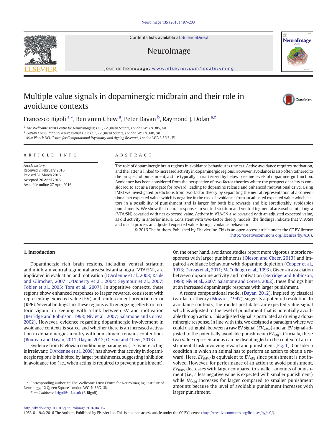Contents lists available at ScienceDirect

## NeuroImage

journal homepage: <www.elsevier.com/locate/ynimg>

## Multiple value signals in dopaminergic midbrain and their role in avoidance contexts

### Francesco Rigoli <sup>a,\*</sup>, Benjamin Chew <sup>a</sup>, Peter Dayan <sup>b</sup>, Raymond J. Dolan <sup>a,c</sup>

<sup>a</sup> The Wellcome Trust Centre for Neuroimaging, UCL, 12 Queen Square, London WC1N 3BG, UK

<sup>b</sup> Gatsby Computational Neuroscience Unit, UCL, 17 Queen Square, London WC1N 3AR, UK

<sup>c</sup> Max Planck UCL Centre for Computational Psychiatry and Ageing Research, London WC1B 5EH, UK

#### article info abstract

Article history: Received 2 February 2016 Revised 31 March 2016 Accepted 26 April 2016 Available online 27 April 2016

The role of dopaminergic brain regions in avoidance behaviour is unclear. Active avoidance requires motivation, and the latter is linked to increased activity in dopaminergic regions. However, avoidance is also often tethered to the prospect of punishment, a state typically characterized by below baseline levels of dopaminergic function. Avoidance has been considered from the perspective of two-factor theories where the prospect of safety is considered to act as a surrogate for reward, leading to dopamine release and enhanced motivational drive. Using fMRI we investigated predictions from two-factor theory by separating the neural representation of a conventional net expected value, which is negative in the case of avoidance, from an adjusted expected value which factors in a possibility of punishment and is larger for both big rewards and big (predictably avoidable) punishments. We show that neural responses in ventral striatum and ventral tegmental area/substantial nigra (VTA/SN) covaried with net expected value. Activity in VTA/SN also covaried with an adjusted expected value, as did activity in anterior insula. Consistent with two-factor theory models, the findings indicate that VTA/SN and insula process an adjusted expected value during avoidance behaviour.

© 2016 The Authors. Published by Elsevier Inc. This is an open access article under the CC BY license (http://creativecommons.org/licenses/by/4.0/).

#### 1. Introduction

Dopaminergic rich brain regions, including ventral striatum and midbrain ventral tegmental area/substantia nigra (VTA/SN), are implicated in evaluation and motivation ([D'Ardenne et al., 2008; Kable](#page-6-0) [and Glimcher, 2007; O'Doherty et al., 2004; Seymour et al., 2007;](#page-6-0) [Tobler et al., 2005; Tom et al., 2007](#page-6-0)). In appetitive contexts, these regions show enhanced responses to larger rewards, consistent with representing expected value (EV) and reinforcement prediction error (RPE). Several findings link these regions with energizing effects or motoric vigour, in keeping with a link between EV and motivation [\(Berridge and Robinson, 1998; Niv et al., 2007; Salamone and Correa,](#page-6-0) [2002\)](#page-6-0). However, evidence regarding dopaminergic involvement in avoidance contexts is scarce, and whether there is an increased activation in dopaminergic circuitry with punishment remains contentious [\(Boureau and Dayan, 2011; Dayan, 2012; Oleson and Cheer, 2013\)](#page-6-0).

Evidence from Pavlovian conditioning paradigms (i.e., where acting is irrelevant; [D'Ardenne et al., 2008](#page-6-0)) has shown that activity in dopaminergic regions is inhibited by larger punishments, suggesting inhibition in avoidance too (i.e., when acting is required to prevent punishment).

E-mail address: [f.rigoli@ucl.ac.uk](mailto:f.rigoli@ucl.ac.uk) (F. Rigoli).

On the other hand, avoidance studies report more vigorous motoric responses with larger punishments [\(Oleson and Cheer, 2013\)](#page-7-0) and impaired avoidance behaviour with dopamine depletion ([Cooper et al.,](#page-6-0) [1973; Darvas et al., 2011; McCullough et al., 1993\)](#page-6-0). Given an association between dopamine activity and motivation ([Berridge and Robinson,](#page-6-0) [1998; Niv et al., 2007; Salamone and Correa, 2002\)](#page-6-0), these findings hint at an increased dopaminergic response with larger punishment.

A recent computational model ([Dayan, 2012](#page-6-0)), inspired by classical two-factor theory ([Mowrer, 1947\)](#page-7-0), suggests a potential resolution. In avoidance contexts, the model postulates an expected value signal which is adjusted to the level of punishment that is potentially avoidable through action. This adjusted signal is postulated as driving a dopaminergic response. In line with this, we designed a paradigm where we could distinguish between a raw EV signal  $(EV_{RAW})$  and an EV signal adjusted to the potentially avoidable punishment  $(EV_{ADJ})$ . Crucially, these two value representations can be disentangled in the context of an instrumental task involving reward and punishment [\(Fig. 1](#page-2-0)). Consider a condition in which an animal has to perform an action to obtain a reward. Here,  $EV_{RAW}$  is equivalent to  $EV_{ADI}$  since punishment is not involved. However, for performance of an action to avoid punishment,  $EV<sub>RAW</sub>$  decreases with larger compared to smaller amounts of punishment (i.e., a less negative value is expected with smaller punishment) while  $EV_{ADI}$  increases for larger compared to smaller punishment amounts because the level of avoidable punishment increases with larger punishment.

<http://dx.doi.org/10.1016/j.neuroimage.2016.04.062>

1053-8119/© 2016 The Authors. Published by Elsevier Inc. This is an open access article under the CC BY license (http://creativecommons.org/licenses/by/4.0/).







<sup>⁎</sup> Corresponding author at: The Wellcome Trust Centre for Neuroimaging, Institute of Neurology, 12 Queen Square, London WC1N 3BG, UK.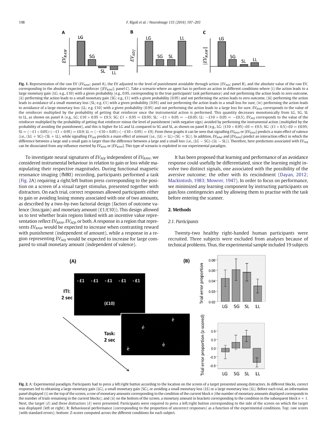<span id="page-2-0"></span>

Fig. 1. Representation of the raw EV ( $EV_{BAW}$ ; panel A), the EV adjusted to the level of punishment avoidable through action ( $EV_{AD}$ ; panel B), and the absolute value of the raw EV, corresponding to the absolute expected reinforcer ( $|EV_{\text{paw}}|$ ; panel C). Take a scenario where an agent has to perform an action in different conditions where (i) the action leads to a large monetary gain (LG; e.g., £10) with a given probability (e.g., 0.95, corresponding to the true participants' task performance) and not performing the action leads to zero outcome, (ii) performing the action leads to a small monetary gain (SG; e.g., £1) with a given probability (0.95) and not performing the action leads to zero outcome, (iii) performing the action leads to avoidance of a small monetary loss (SL; e.g. £1) with a given probability (0.95) and not performing the action leads to a small loss for sure, (iv) performing the action leads to avoidance of a large monetary loss (LL; e.g. £10) with a given probability (0.95) and not performing the action leads to a large loss for sure. EV<sub>RAW</sub> corresponds to the value of the reinforcer multiplied by the probability of getting that reinforcer once the instrumental action is performed. This quantity decreases monotonically from LG, SG, SL to LL, as shown on panel A (e.g., LG: £10 × 0.95 = £9.5; SG: £1 × 0.95 = £0.95; SL:  $-£1 \times 0.05 = -£0.05$ ; LL:  $-£10 \times 0.05 = -£0.5$ ). EV<sub>ADI</sub> corresponds to the value of the reinforcer multiplied by the probability of getting that reinforcer minus the level of punishment (with negative sign) avoided by performing the instrumental action (multiplied by the probability of avoiding the punishment), and this is higher for LG and LL compared to SG and SL, as shown on panel B (e.g., LG: (£10 × 0.95)–£0 = £9.5; SG: (£1 × 0.5)–£0 = £0.95; SL = (-£1 × 0.05)–(-£1 × 0.95) = £0.9; LL = (-£10 × 0.05)–(-£10 × 0.95) = £9). From these graphs it can be seen that signalling EV<sub>RAW</sub> or |EV<sub>RAW</sub>| predicts a main effect of valence (i.e., (LG + SG)–(SL + LL), while signalling EV<sub>ADJ</sub> predicts a main effect of amount (i.e., (LG + LL)–(SG + SL)). In addition, EV<sub>RAW</sub> and |EV<sub>RAW</sub> are lict an interaction effect in which the difference between a large and a small gain is larger than the difference between a large and a small loss (i.e.,  $(LG - SC)$ – $(L - SL)$ ). Therefore, here predictions associated with  $EV_{AD}$ can be dissociated from any influence exerted by  $EV_{RAW}$  or  $|EV_{RAW}|$ . This type of scenario is exploited in our experimental paradigm.

To investigate neural signatures of  $EV_{ADJ}$  independent of  $EV_{RAW}$ , we considered instrumental behaviour in relation to gain or loss while manipulating their respective magnitudes. During functional magnetic resonance imaging (fMRI) recording, participants performed a task (Fig. 2A) requiring a right/left button press corresponding to the position on a screen of a visual target stimulus, presented together with distractors. On each trial, correct responses allowed participants either to gain or avoiding losing money associated with one of two amounts, as described by a two-by-two factorial design (factors of outcome valence (loss/gain) and monetary amount (£1/£10)). This design allowed us to test whether brain regions linked with an incentive value representation reflect  $EV_{RAW}$ ,  $EV_{ADJ}$ , or both. A response in a region that represents  $EV<sub>RAW</sub>$  would be expected to increase when contrasting reward with punishment (independent of amount), while a response in a region representing  $EV_{ADI}$  would be expected to increase for large compared to small monetary amount (independent of valence).

It has been proposed that learning and performance of an avoidance response could usefully be differentiated, since the learning might involve two distinct signals, one associated with the possibility of the aversive outcome; the other with its rescindment ([Dayan, 2012;](#page-6-0) [Mackintosh, 1983; Mowrer, 1947\)](#page-6-0). In order to focus on performance, we minimized any learning component by instructing participants on gain/loss contingencies and by allowing them to practise with the task before entering the scanner.

#### 2. Methods

#### 2.1. Participants



Twenty-two healthy right-handed human participants were recruited. Three subjects were excluded from analyses because of technical problems. Thus, the experimental sample included 19 subjects

Fig. 2. A: Experimental paradigm. Participants had to press a left/right button according to the location on the screen of a target presented among distractors. In different blocks, correct responses led to obtaining a large monetary gain (LG), a small monetary gain (SG), or avoiding a small monetary loss (LS) or a large monetary loss (LL). Before each trial, an information panel displayed (i) on the top of the screen, a row of monetary amounts corresponding to the condition of the current block n (the number of monetary amounts displayed corresponds to the number of trials remaining in the current blocks); and (ii) on the bottom of the screen, a monetary amount in brackets corresponding to the condition in the subsequent block  $n + 1$ . Next, the target (é) and three distractors (è) were presented. Participants were required to press a left/right button corresponding to the side of the screen on which the target was displayed (left or right). B: Behavioural performance (corresponding to the proportion of uncorrect responses) as a function of the experimental conditions. Top: raw scores (with standard errors); bottom: Z-scores computed across the different conditions for each subject.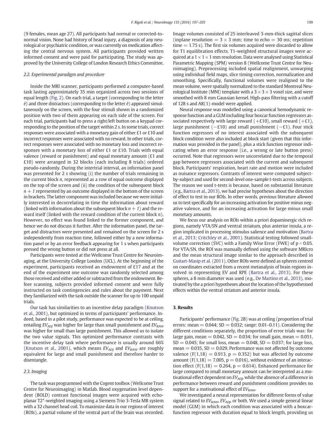(9 females, mean age 27). All participants had normal or corrected-tonormal vision. None had history of head injury, a diagnosis of any neurological or psychiatric condition, or was currently on medication affecting the central nervous system. All participants provided written informed consent and were paid for participating. The study was approved by the University College of London Research Ethics Committee.

#### 2.2. Experimental paradigm and procedure

Inside the MRI scanner, participants performed a computer-based task lasting approximately 35 min organized across two sessions of equal length [\(Fig. 2](#page-2-0)). On each trial, a target (corresponding to the letter  $\acute{e}$ ) and three distractors (corresponding to the letter  $\grave{e}$ ) appeared simultaneously on the screen, with the four stimuli shown in a randomized position with two of them appearing on each side of the screen. For each trial, participants had to press a right/left button on a keypad corresponding to the position of the target within 2 s. In some trials, correct responses were associated with a monetary gain of either £1 or £10 and incorrect responses were associated with no reward. In other trials, correct responses were associated with no monetary loss and incorrect responses with a monetary loss of either £1 or £10. Trials with equal valence (reward or punishment) and equal monetary amount (£1 and £10) were arranged in 32 blocks (each including 8 trials) ordered pseudo-randomly. During the intertrial interval, an information panel was presented for 2 s showing (i) the number of trials remaining in the current block n, represented as a row of equal outcome displayed on the top of the screen and (ii) the condition of the subsequent block  $n + 1$  represented by an outcome displayed in the bottom of the screen in brackets. The latter component was included because we were initially interested in decorrelating in time the information about reward (linked with information about the subsequent block  $n + 1$ ) and the reward itself (linked with the reward condition of the current block n). However, no effect was found linked to the former component, and hence we do not discuss it further. After the information panel, the target and distractors were presented and remained on the screen for 2 s independently from reaction time, followed either by a new information panel or by an error feedback appearing for 1 s when participants pressed the wrong button or did not press at all.

Participants were tested at the Wellcome Trust Centre for Neuroimaging, at the University College London (UCL). At the beginning of the experiment, participants received an endowment of £17 and at the end of the experiment one outcome was randomly selected among those received and either added or subtracted from the endowment. Before scanning, subjects provided informed consent and were fully instructed on task contingencies and rules about the payment. Next they familiarized with the task outside the scanner for up to 100 unpaid trials.

Our task has similarities to an incentive delay paradigm [\(Knutson](#page-6-0) [et al., 2001](#page-6-0)), but optimized in terms of participants' performance. Indeed, based in a pilot study, performance was expected to be at ceiling, entailing  $EV_{ADI}$  was higher for large than small punishment and  $EV_{RAW}$ was higher for small than large punishment. This allowed us to isolate the two value signals. This optimized performance contrasts with the incentive delay task where performance is usually around 66% [\(Knutson et al., 2001\)](#page-6-0), which means  $EV_{ADI}$  and  $EV_{RAW}$  are roughly equivalent for large and small punishment and therefore harder to disentangle.

#### 2.3. Imaging

The task was programmed with the Cogent toolbox (Wellcome Trust Centre for Neuroimaging) in Matlab. Blood oxygenation level dependent (BOLD) contrast functional images were acquired with echoplanar T2\*-weighted imaging using a Siemens Trio 3-Tesla MR system with a 32 channel head coil. To maximize data in our regions of interest (ROIs), a partial volume of the ventral part of the brain was recorded. Image volumes consisted of 25 interleaved 3-mm-thick sagittal slices (inplane resolution  $= 3 \times 3$  mm; time to echo  $= 30$  ms; repetition time  $= 1.75$  s). The first six volumes acquired were discarded to allow for T1 equilibration effects. T1-weighted structural images were acquired at a  $1 \times 1 \times 1$  mm resolution. Data were analysed using Statistical Parametric Mapping (SPM) version 8 (Wellcome Trust Centre for Neuroimaging). Preprocessing included spatial realignment, unwarping using individual field maps, slice timing correction, normalization and smoothing. Specifically, functional volumes were realigned to the mean volume, were spatially normalized to the standard Montreal Neurological Institute (MNI) template with a  $3 \times 3 \times 3$  voxel size, and were smoothed with 8 mm Gaussian kernel. High-pass filtering with a cutoff of 128 s and AR(1)-model were applied.

Neural response was modelled using a canonical hemodynamic response function and a GLM including four boxcar function regressors associated respectively with large reward  $(+£10)$ , small reward  $(+£1)$ , large punishment ( $-f10$ ) and small punishment ( $-f1$ ). Four stick function regressors of no interest associated with the subsequent block condition were also included at block start (given that this information was provided in the panel), plus a stick function regressor indicating when an error response (i.e., a wrong or late button press) occurred. Note that regressors were uncorrelated due to the temporal gap between regressors associated with the current and subsequent block. Participants' respiration, heart rate and motion were included as nuisance regressors. Contrasts of interest were computed subjectby-subject and used for second-level one-sample t-tests across subjects. The reason we used t-tests is because, based on substantial literature (e.g., [Bartra et al., 2013\)](#page-6-0), we had precise hypotheses about the direction of effect to test in our ROIs. In other words, previous literature allowed us to test specifically for an increasing activation for positive minus negative valence, and for an increasing activation for large minus small monetary amounts.

We focus our analysis on ROIs within a priori dopaminergic rich regions, namely VTA/SN and ventral striatum, plus anterior insula, a region implicated in processing stimulus salience and motivation ([Bartra](#page-6-0) [et al., 2013; Critchley et al., 2001](#page-6-0)). Statistical testing followed smallvolume correction (SVC) with a Family Wise Error (FWE) of  $p < 0.05$ . For VTA/SN, the ROI was manually defined using the software MRIcro and the mean structural image similar to the approach described in [Guitart-Masip et al. \(2011\).](#page-6-0) Other ROIs were defined as spheres centred on coordinates extracted from a recent metanalysis of brain regions involved in representing EV and RPE ([Bartra et al., 2013](#page-6-0)). For these spheres, a 8 mm diameter was used (e.g., [De Martino et al., 2013\)](#page-6-0), motivated by the a priori hypotheses about the location of the hypothesised effects within the ventral striatum and anterior insula.

#### 3. Results

Participants' performance [\(Fig. 2](#page-2-0)B) was at ceiling (proportion of trial errors: mean =  $0.044$ ; SD =  $0.032$ ; range:  $0.01-0.11$ ). Considering the different conditions separately, the proportion of error trials was: for large gain, mean  $= 0.042$ , SD  $= 0.034$ ; for small gain, mean  $= 0.051$ ,  $SD = 0.045$ ; for small loss, mean  $= 0.048$ ,  $SD = 0.037$ ; for large loss,  $mean = 0.035$ ,  $SD = 0.029$ . Performance was not affected by outcome valence (F(1,18) = 0.913,  $p = 0.352$ ) but was affected by outcome amount ( $F(1,18) = 7.005$ ,  $p = 0.016$ ), without evidence of an interaction effect (F(1,18) = 0.264,  $p = 0.614$ ). Enhanced performance for large compared to small monetary amount can be interpreted as a motivational effect dependent on  $EV_{AD}$ , while the absence of a difference in performance between reward and punishment conditions provides no support for a motivational effect of  $EV<sub>RAW</sub>$ .

We investigated a neural representation for different forms of value signal related to  $EV_{RAW}$ ,  $EV_{ADJ}$ , or both. We used a simple general linear model (GLM) in which each condition was associated with a boxcarfunction regressor with duration equal to block length, providing us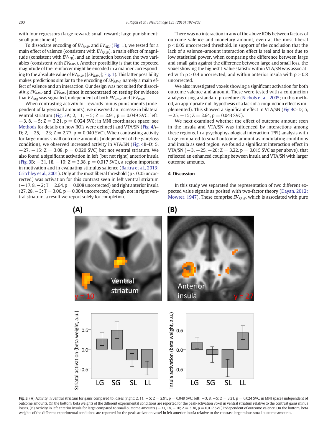with four regressors (large reward; small reward; large punishment; small punishment).

To dissociate encoding of  $EV_{RAW}$  and  $EV_{ADJ}$  ([Fig. 1\)](#page-2-0), we tested for a main effect of valence (consistent with  $EV_{RAW}$ ), a main effect of magnitude (consistent with  $EV_{ADJ}$ ), and an interaction between the two variables (consistent with  $EV_{RAW}$ ). Another possibility is that the expected magnitude of the reinforcer might be encoded in a manner corresponding to the absolute value of  $EV_{RAW}$  ( $|EV_{RAW}|$ ; [Fig. 1](#page-2-0)). This latter possibility makes predictions similar to the encoding of  $EV<sub>RAW</sub>$ , namely a main effect of valence and an interaction. Our design was not suited for dissociating  $EV_{RAW}$  and  $|EV_{RAW}|$  since it concentrated on testing for evidence that  $EV_{ADI}$  was signalled, independent of both  $EV_{RAW}$  and  $|EV_{RAW}|$ .

When contrasting activity for rewards minus punishments (independent of large/small amounts), we observed an increase in bilateral ventral striatum (Fig. 3A; 2, 11,  $-5$ ; Z = 2.91, p = 0.049 SVC; left:  $-3$ , 8,  $-5$ ; Z = 3.21, p = 0.024 SVC; in MNI coordinates space; see [Methods](#page-2-0) for details on how ROIs were defined) and VTA/SN [\(Fig. 4](#page-5-0)A– D; 2,  $-25$ ,  $-23$ ;  $Z = 2.77$ ,  $p = 0.040$  SVC). When contrasting activity for large minus small outcome amounts (independent of the gain/loss condition), we observed increased activity in VTA/SN ([Fig. 4B](#page-5-0)–D; 5,  $-27$ ,  $-15$ ; Z = 3.08, p = 0.020 SVC) but not ventral striatum. We also found a significant activation in left (but not right) anterior insula (Fig. 3B;  $-31$ , 18,  $-10$ ;  $Z = 3.38$ ,  $p = 0.017$  SVC), a region important in motivation and in evaluating stimulus salience [\(Bartra et al., 2013;](#page-6-0) [Critchley et al., 2001](#page-6-0)). Only at the most liberal threshold ( $p < 0.05$  uncorrected) was activation for this contrast seen in left ventral striatum  $(-17, 8, -2; T = 2.64, p = 0.008$  uncorrected) and right anterior insula  $(27, 28, -3; T = 3.06, p = 0.004$  uncorrected), though not in right ventral striatum, a result we report solely for completion.

 $(A)$ 

There was no interaction in any of the above ROIs between factors of outcome valence and monetary amount, even at the most liberal  $p < 0.05$  uncorrected threshold. In support of the conclusion that the lack of a valence–amount interaction effect is real and is not due to low statistical power, when comparing the difference between large and small gain against the difference between large and small loss, the voxel showing the highest t-value statistic within VTA/SN was associated with  $p > 0.4$  uncorrected, and within anterior insula with  $p > 0.8$ uncorrected.

We also investigated voxels showing a significant activation for both outcome valence and amount. These were tested with a conjunction analysis using a standard procedure ([Nichols et al., 2005;](#page-7-0) in this method, an appropriate null hypothesis of a lack of a conjunction effect is implemented). This showed a significant effect in VTA/SN ([Fig 4](#page-5-0)C–D; 5,  $-25, -15; Z = 2.64, p = 0.043$  SVC).

We next examined whether the effect of outcome amount seen in the insula and VTA/SN was influenced by interactions among these regions. In a psychophysiological interaction (PPI) analysis with large compared to small outcome amount as modulating conditions and insula as seed region, we found a significant interaction effect in VTA/SN ( $-3$ ,  $-25$ ,  $-20$ ;  $Z = 3.22$ ,  $p = 0.015$  SVC as per above), that reflected an enhanced coupling between insula and VTA/SN with larger outcome amounts.

#### 4. Discussion

In this study we separated the representation of two different expected value signals as posited with two-factor theory ([Dayan, 2012;](#page-6-0) [Mowrer, 1947](#page-6-0)). These comprise  $EV_{RAW}$ , which is associated with pure

### $(B)$



Fig. 3. (A) Activity in ventral striatum for gains compared to losses (right: 2, 11, −5; Z = 2.91, p = 0.049 SVC; left: −3, 8, −5; Z = 3.21, p = 0.024 SVC, in MNI space) independent of outcome amounts. On the bottom, beta weights of the different experimental conditions are reported for the peak-activation voxel in ventral striatum relative to the contrast gains minus losses. (B) Activity in left anterior insula for large compared to small outcome amounts (−31, 18, −10; Z = 3.38, p = 0.017 SVC) independent of outcome valence. On the bottom, beta weights of the different experimental conditions are reported for the peak-activation voxel in left anterior insula relative to the contrast large minus small outcome amounts.

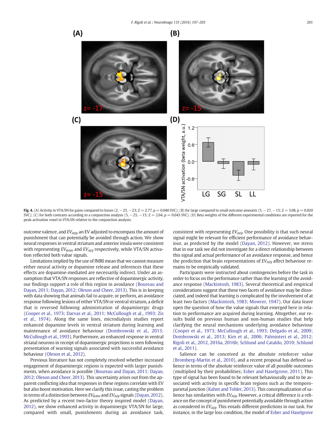<span id="page-5-0"></span>

Fig. 4. (A) Activity in VTA/SN for gains compared to losses  $(2, -25, -23; Z = 2.77, p = 0.040$  SVC); (B) for large compared to small outcome amounts  $(5, -27, -15; Z = 3.08, p = 0.020)$ SVC); (C) for both contrasts according to a conjunction analysis (5, -25, -15; Z = 2.64, p = 0.043 SVC). (D) Beta weights of the different experimental conditions are reported for the peak-activation voxel in VTA/SN relative to the conjunction analysis.

outcome valence, and  $EV_{AD}$ , an EV adjusted to encompass the amount of punishment that can potentially be avoided through action. We show neural responses in ventral striatum and anterior insula were consistent with representing  $EV_{RAW}$  and  $EV_{AD}$  respectively, while VTA/SN activation reflected both value signals.

Limitations implied by the use of fMRI mean that we cannot measure either neural activity or dopamine release and inferences that these effects are dopamine-mediated are necessarily indirect. Under an assumption that VTA/SN responses are reflective of dopaminergic activity, our findings support a role of this region in avoidance [\(Boureau and](#page-6-0) [Dayan, 2011; Dayan, 2012; Oleson and Cheer, 2013](#page-6-0)). This is in keeping with data showing that animals fail to acquire, or perform, an avoidance response following lesions of either VTA/SN or ventral striatum, a deficit that is reversed following administration of dopaminergic drugs [\(Cooper et al., 1973; Darvas et al., 2011; McCullough et al., 1993; Zis](#page-6-0) [et al., 1974](#page-6-0)). Along the same lines, microdialysis studies report enhanced dopamine levels in ventral striatum during learning and maintenance of avoidance behaviour ([Dombrowski et al., 2013;](#page-6-0) [McCullough et al., 1993](#page-6-0)). Furthermore, an enhanced response in ventral striatal neurons in receipt of dopaminergic projections is seen following presentation of warning signals associated with successful avoidance behaviour ([Oleson et al., 2012\)](#page-7-0).

Previous literature has not completely resolved whether increased engagement of dopaminergic regions is expected with larger punishments, when avoidance is possible [\(Boureau and Dayan, 2011; Dayan,](#page-6-0) [2012; Oleson and Cheer, 2013\)](#page-6-0). This uncertainty arises out from the apparent conflicting idea that responses in these regions correlate with EV but also boost motivation. Here we clarify this issue, casting the problem in terms of a distinction between  $EV_{RAW}$  and  $EV_{ADJ}$  signals [\(Dayan, 2012](#page-6-0)). As predicted by a recent two-factor theory inspired model ([Dayan,](#page-6-0) [2012\)](#page-6-0), we show enhanced activity in dopaminergic VTA/SN for large, compared with small, punishments during an avoidance task, consistent with representing  $EV_{ADJ}$ . One possibility is that such neural signal might be relevant for efficient performance of avoidance behaviour, as predicted by the model [\(Dayan, 2012\)](#page-6-0). However, we stress that in our task we did not investigate for a direct relationship between this signal and actual performance of an avoidance response, and hence the prediction that brain representations of  $EV_{ADI}$  affect behaviour remains to be empirically validated.

Participants were instructed about contingencies before the task in order to focus on the performance rather than the learning of the avoidance response [\(Mackintosh, 1983](#page-6-0)). Several theoretical and empirical considerations suggest that these two facets of avoidance may be dissociated, and indeed that learning is complicated by the involvement of at least two factors [\(Mackintosh, 1983; Mowrer, 1947](#page-6-0)). Our data leave open the question of how the value signals that emerged here in relation to performance are acquired during learning. Altogether, our results build on previous human and non-human studies that help clarifying the neural mechanisms underlying avoidance behaviour [\(Cooper et al., 1973; McCullough et al., 1993; Delgado et al., 2009;](#page-6-0) [Dombrowski et al., 2013; Kim et al., 2006; Palminteri et al., 2012;](#page-6-0) [Rigoli et al., 2012, 2016a, 2016b;](#page-6-0) [Schlund and Cataldo, 2010; Schlund](#page-7-0) [et al., 2011](#page-7-0)).

Salience can be conceived as the absolute reinforcer value [\(Bromberg-Martin et al., 2010](#page-6-0)), and a recent proposal has defined salience in terms of the absolute reinforcer value of all possible outcomes (multiplied by their probabilities; [Esber and Haselgrove, 2011\)](#page-6-0). This type of signal has been found to be relevant behaviourally and to be associated with activity in specific brain regions such as the temporoparietal junction ([Kahnt and Tobler, 2013](#page-6-0)). This conceptualization of salience has similarities with  $EV_{ADJ}$ . However, a critical difference is a reliance on the concept of punishment potentially avoidable through action as considered in  $EV_{AD}$ . This entails different predictions in our task. For instance, in the large loss condition, the model of [Esber and Haselgrove](#page-6-0)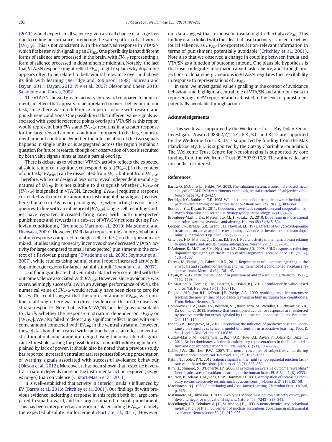<span id="page-6-0"></span>(2011) would expect small salience given a small chance of a large loss due to ceiling performance, predicting the same pattern of activity as  $|EV_{RAW}|$ . This is not consistent with the observed response in VTA/SN which fits better with signalling an  $EV_{AD}$ . One possibility is that different forms of salience are processed in the brain, with  $EV_{ADJ}$  representing a form of salience processed in dopaminergic midbrain. Notably, the fact that VTA/SN response might reflect  $EV_{ADI}$  might explain why dopamine appears often to be related to behavioural relevance over and above its link with learning (Berridge and Robinson, 1998; Boureau and Dayan, 2011; Dayan, 2012; Niv et al., 2007; Oleson and Cheer, 2013; Salamone and Correa, 2002).

The VTA/SN showed greater activity for reward compared to punishment, an effect that appears to be unrelated to overt behaviour in our task, since there was no difference in performance with reward and punishment conditions. One possibility is that different value signals associated with specific reference points overlap in VTA/SN as this region would represent both  $EV_{ADJ}$  and  $EV_{RAW}$ , resulting in a greater response for the large reward amount condition compared to the large punishment amount condition. Whether the interpolation of the two signals happens in single units or is segregated across the region remains a question for future research, though our observation of voxels recruited by both value signals hints at least a partial overlap.

There is debate as to whether VTA/SN activity reflects the expected absolute reinforce magnitude, corresponding to  $|EV_{RAW}|$ . In the context of our task,  $|EV_{RAW}|$  can be dissociated from  $EV_{ADJ}$  but not from  $EV_{RAW}$ . Therefore, while our design allows us to reveal independent neural signatures of  $EV_{ADI}$ , it is not suitable to distinguish whether  $EV_{RAW}$  or  $|EV_{RAW}|$  is signalled in VTA/SN. Encoding  $|EV_{RAW}|$  requires a response correlated with outcome amount in instrumental paradigms (as used here) but also in Pavlovian paradigms, i.e., when acting has no consequences. In line with an influence of  $|EV_{RAW}|$ , single-cell recording studies have reported increased firing rates with both unexpected punishments and rewards in a sub-set of VTA/SN neurons during Pavlovian conditioning (Bromberg-Martin et al., 2010; Matsumoto and Hikosaka, 2009). However, fMRI data (representing a more global population response compared to single-cell studies) on this question are mixed. Studies using monetary incentives show decreased VTA/SN activity for large compared to small (unexpected) punishment in the context of a Pavlovian paradigm (D'Ardenne et al., 2008; Seymour et al., 2007), while studies using painful stimuli report increased activity in dopaminergic regions for larger painful stimuli [\(Seymour et al., 2007](#page-7-0)).

Our findings indicate that ventral striatal activity correlated with the outcome valence associated with  $EV_{RAW}$ . However, since avoidance was overwhelmingly successful (with an average performance of 95%), the numerical value of  $EV_{RAW}$  would actually have been close to zero for losses. This could suggest that the representation of  $EV_{RAW}$  was nonlinear, although there was no direct evidence of this in the observed striatal responses. Note that, as for VTAS/SN, our design is not suitable to clarify whether the response in striatum depended on  $EV<sub>RAW</sub>$  or  $|EV_{RAW}|$ . We also failed to detect any significant effect linked with outcome amount connected with  $EV_{ADI}$ , in the ventral striatum. However, these data should be treated with caution because an effect in ventral striatum of outcome amount emerged using the most liberal significance threshold, raising the possibility that our null finding might be explained by lack of power. It should also be noted that a previous study has reported increased ventral striatal responses following presentation of warning signals associated with successful avoidance behaviour [\(Oleson et al., 2012\)](#page-7-0). Moreover, it has been shown that response in ventral striatum depends more on the instrumental action required (i.e., go vs no-go) than on valence (Guitart-Masip et al., 2011).

It is well-established that activity in anterior insula is influenced by EV (Bartra et al., 2013; Critchley et al., 2001). Our findings fit with previous evidence indicating a response in this region both for large compared to small reward, and for large compared to small punishment. This has been interpreted as anterior insula encoding  $|EV_{RAW}|$ , namely the expected absolute reinforcement (Bartra et al., 2013). However,

our data suggest that response in insula might reflect also  $EV_{ADI}$ . This finding is also linked with the idea that insula activity is linked to behavioural salience, as  $EV_{ADI}$  incorporates action-relevant information in terms of punishment potentially avoidable (Critchley et al., 2001). Note also that we observed a change in coupling between insula and VTA/SN as a function of outcome amount. One plausible hypothesis is that insula integrates information about task salience, and through projections to dopaminergic neurons in VTA/SN, regulates their excitability in response to representations of  $EV_{ADI}$ .

In sum, we investigated value signalling in the context of avoidance behaviour and highlight a central role of VTA/SN and anterior insula in representing an EV representation adjusted to the level of punishment potentially avoidable through action.

#### Acknowledgements

This work was supported by the Wellcome Trust (Ray Dolan Senior Investigator Award 098362/Z/12/Z). F.R., B.C. and R.J.D. are supported by the Wellcome Trust. R.J.D. is supported by funding from the Max Planck Society. P.D. is supported by the Gatsby Charitable Foundation. The Wellcome Trust Centre for Neuroimaging is supported by core funding from the Wellcome Trust 091593/Z/10/Z. The authors declare no conflict of interest.

#### References

- Bartra, O., McGuire, J.T., Kable, J.W., 2013. [The valuation system: a coordinate-based meta](http://refhub.elsevier.com/S1053-8119(16)30103-3/rf0005)[analysis of BOLD fMRI experiments examining neural correlates of subjective value.](http://refhub.elsevier.com/S1053-8119(16)30103-3/rf0005) [NeuroImage 76, 412](http://refhub.elsevier.com/S1053-8119(16)30103-3/rf0005)–427.
- Berridge, K.C., Robinson, T.E., 1998. [What is the role of dopamine in reward: hedonic im](http://refhub.elsevier.com/S1053-8119(16)30103-3/rf0010)[pact, reward learning, or incentive salience? Brain Res. Rev. 28 \(3\), 309](http://refhub.elsevier.com/S1053-8119(16)30103-3/rf0010)–369.
- Boureau, Y.L., Dayan, P., 2011. [Opponency revisited: competition and cooperation be](http://refhub.elsevier.com/S1053-8119(16)30103-3/rf0015)[tween dopamine and serotonin. Neuropsychopharmacology 36 \(1\), 74](http://refhub.elsevier.com/S1053-8119(16)30103-3/rf0015)–97.
- Bromberg-Martin, E.S., Matsumoto, M., Hikosaka, O., 2010. [Dopamine in motivational](http://refhub.elsevier.com/S1053-8119(16)30103-3/rf0020) [control: rewarding, aversive, and alerting. Neuron 68 \(5\), 815](http://refhub.elsevier.com/S1053-8119(16)30103-3/rf0020)–834.
- Cooper, B.R., Breese, G.R., Grant, L.D., Howard, J.L., 1973. [Effects of 6-hydroxydopamine](http://refhub.elsevier.com/S1053-8119(16)30103-3/rf0025) [treatments on active avoidance responding: evidence for involvement of brain dopa](http://refhub.elsevier.com/S1053-8119(16)30103-3/rf0025)[mine. J. Pharmacol. Exp. Ther. 185 \(2\), 358](http://refhub.elsevier.com/S1053-8119(16)30103-3/rf0025)–370.
- Critchley, H.D., Mathias, C.J., Dolan, R.J., 2001. [Neural activity in the human brain relating](http://refhub.elsevier.com/S1053-8119(16)30103-3/rf0030) [to uncertainty and arousal during anticipation. Neuron 29 \(2\), 537](http://refhub.elsevier.com/S1053-8119(16)30103-3/rf0030)–545.
- D'Ardenne, K., McClure, S.M., Nystrom, L.E., Cohen, J.D., 2008. [BOLD responses re](http://refhub.elsevier.com/S1053-8119(16)30103-3/rf0035)flecting dopaminergic signals in the human ventral tegmental area. Science 319 (5867) 1264–[1267.](http://refhub.elsevier.com/S1053-8119(16)30103-3/rf0035)
- Darvas, M., Fadok, J.P., Palmiter, R.D., 2011. [Requirement of dopamine signaling in the](http://refhub.elsevier.com/S1053-8119(16)30103-3/rf0040) [amygdala and striatum for learning and maintenance of a conditioned avoidance re](http://refhub.elsevier.com/S1053-8119(16)30103-3/rf0040)[sponse. Learn. Mem. 18 \(3\), 136](http://refhub.elsevier.com/S1053-8119(16)30103-3/rf0040)–143.
- Dayan, P., 2012. [Instrumental vigour in punishment and reward. Eur. J. Neurosci. 35 \(7\),](http://refhub.elsevier.com/S1053-8119(16)30103-3/rf0045) 1152–[1168.](http://refhub.elsevier.com/S1053-8119(16)30103-3/rf0045)
- De Martino, B., Fleming, S.M., Garrett, N., Dolan, R.J., 2013. Confi[dence in value-based](http://refhub.elsevier.com/S1053-8119(16)30103-3/rf0050) [choice. Nat. Neurosci. 16 \(1\), 105](http://refhub.elsevier.com/S1053-8119(16)30103-3/rf0050)–110.
- Delgado, M.R., Jou, R.L., LeDoux, J.E., Phelps, E.A., 2009. [Avoiding negative outcomes:](http://refhub.elsevier.com/S1053-8119(16)30103-3/rf0055) [tracking the mechanisms of avoidance learning in humans during fear conditioning.](http://refhub.elsevier.com/S1053-8119(16)30103-3/rf0055) [Front. Behav. Neurosci. 3](http://refhub.elsevier.com/S1053-8119(16)30103-3/rf0055).
- Dombrowski, P.A., Maia, T.V., Boschen, S.L., Bortolanza, M., Wendler, E., Schwarting, R.K., Da Cunha, C., 2013. [Evidence that conditioned avoidance responses are reinforced](http://refhub.elsevier.com/S1053-8119(16)30103-3/rf0060) [by positive prediction errors signaled by tonic striatal dopamine. Behav. Brain Res.](http://refhub.elsevier.com/S1053-8119(16)30103-3/rf0060) [241, 112](http://refhub.elsevier.com/S1053-8119(16)30103-3/rf0060)–119.
- Esber, G.R., Haselgrove, M., 2011. Reconciling the infl[uence of predictiveness and uncer](http://refhub.elsevier.com/S1053-8119(16)30103-3/rf0065)[tainty on stimulus salience: a model of attention in associative learning. Proc. R.](http://refhub.elsevier.com/S1053-8119(16)30103-3/rf0065) [Soc. Lond. B Biol. Sci., rspb20110836](http://refhub.elsevier.com/S1053-8119(16)30103-3/rf0065)
- Guitart-Masip, M., Fuentemilla, L., Bach, D.R., Huys, Q.J., Dayan, P., Dolan, R.J., Duzel, E., 2011. [Action dominates valence in anticipatory representations in the human stria](http://refhub.elsevier.com/S1053-8119(16)30103-3/rf0070)[tum and dopaminergic midbrain. J. Neurosci. 31 \(21\), 7867](http://refhub.elsevier.com/S1053-8119(16)30103-3/rf0070)–7875.
- Kable, J.W., Glimcher, P.W., 2007. [The neural correlates of subjective value during](http://refhub.elsevier.com/S1053-8119(16)30103-3/rf0075) [intertemporal choice. Nat. Neurosci. 10 \(12\), 1625](http://refhub.elsevier.com/S1053-8119(16)30103-3/rf0075)–1633.
- Kahnt, T., Tobler, P.N., 2013. [Salience signals in the right temporoparietal junction facili](http://refhub.elsevier.com/S1053-8119(16)30103-3/rf0080)[tate value-based decisions. J. Neurosci. 33 \(3\), 863](http://refhub.elsevier.com/S1053-8119(16)30103-3/rf0080)–869.
- Kim, H., Shimojo, S., O'Doherty, J.P., 2006. [Is avoiding an aversive outcome rewarding?](http://refhub.elsevier.com/S1053-8119(16)30103-3/rf0085) [Neural substrates of avoidance learning in the human brain. PLoS Biol. 4 \(8\), e233](http://refhub.elsevier.com/S1053-8119(16)30103-3/rf0085).
- Knutson, B., Adams, C.M., Fong, G.W., Hommer, D., 2001. [Anticipation of increasing mon](http://refhub.elsevier.com/S1053-8119(16)30103-3/rf0090)[etary reward selectively recruits nucleus accumbens. J. Neurosci. 21 \(16\), RC159.](http://refhub.elsevier.com/S1053-8119(16)30103-3/rf0090) Mackintosh, N.J., 1983. [Conditioning and Associative Learning. Clarendon Press, Oxford,](http://refhub.elsevier.com/S1053-8119(16)30103-3/rf0095)
- [p. 316](http://refhub.elsevier.com/S1053-8119(16)30103-3/rf0095).
- Matsumoto, M., Hikosaka, O., 2009. [Two types of dopamine neuron distinctly convey pos-](http://refhub.elsevier.com/S1053-8119(16)30103-3/rf0100)[itive and negative motivational signals. Nature 459 \(7248\), 837](http://refhub.elsevier.com/S1053-8119(16)30103-3/rf0100)–841.
- McCullough, L.D., Sokolowski, J.D., Salamone, J.D., 1993. [A neurochemical and behavioral](http://refhub.elsevier.com/S1053-8119(16)30103-3/rf0105) [investigation of the involvement of nucleus accumbens dopamine in instrumental](http://refhub.elsevier.com/S1053-8119(16)30103-3/rf0105) [avoidance. Neuroscience 52 \(4\), 919](http://refhub.elsevier.com/S1053-8119(16)30103-3/rf0105)–925.